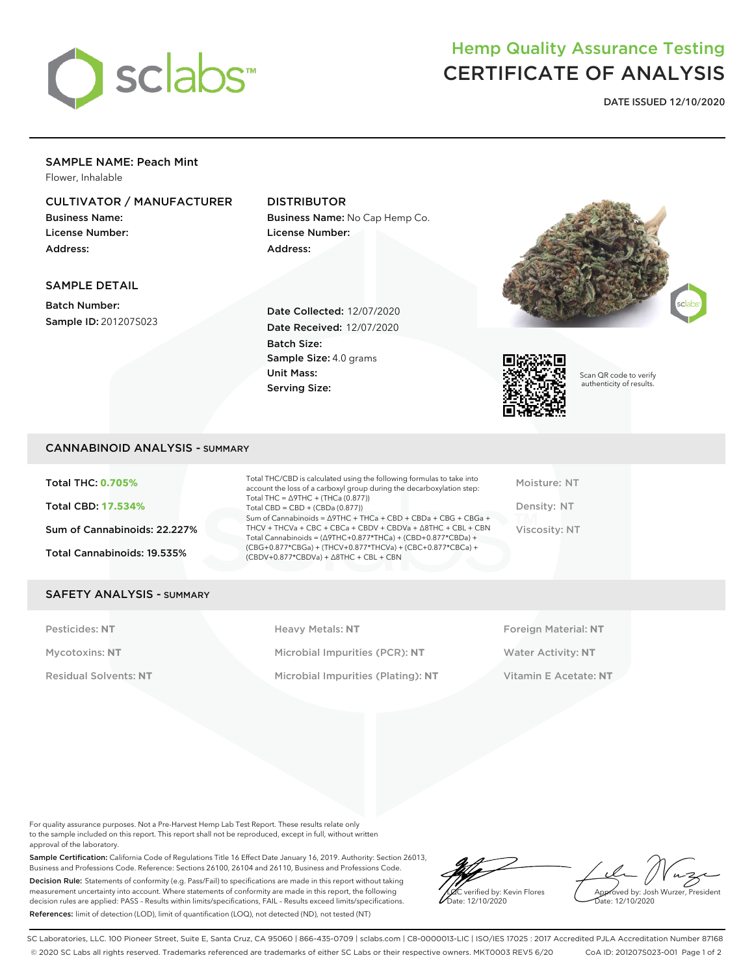

# Hemp Quality Assurance Testing CERTIFICATE OF ANALYSIS

DATE ISSUED 12/10/2020

## SAMPLE NAME: Peach Mint

Flower, Inhalable

## CULTIVATOR / MANUFACTURER

Business Name: License Number: Address:

### DISTRIBUTOR

Business Name: No Cap Hemp Co. License Number: Address:

#### SAMPLE DETAIL

Batch Number: Sample ID: 201207S023

Date Collected: 12/07/2020 Date Received: 12/07/2020 Batch Size: Sample Size: 4.0 grams Unit Mass: Serving Size:





Scan QR code to verify authenticity of results.

#### CANNABINOID ANALYSIS - SUMMARY

Total THC: **0.705%** Total CBD: **17.534%** Sum of Cannabinoids: 22.227% Total Cannabinoids: 19.535%

Total THC/CBD is calculated using the following formulas to take into account the loss of a carboxyl group during the decarboxylation step: Total THC = ∆9THC + (THCa (0.877)) Total  $CBD = CBD + (CBDa (0.877))$ Sum of Cannabinoids = ∆9THC + THCa + CBD + CBDa + CBG + CBGa + THCV + THCVa + CBC + CBCa + CBDV + CBDVa + ∆8THC + CBL + CBN Total Cannabinoids = (∆9THC+0.877\*THCa) + (CBD+0.877\*CBDa) + (CBG+0.877\*CBGa) + (THCV+0.877\*THCVa) + (CBC+0.877\*CBCa) + (CBDV+0.877\*CBDVa) + ∆8THC + CBL + CBN

Moisture: NT Density: NT Viscosity: NT

#### SAFETY ANALYSIS - SUMMARY

Pesticides: NT **All Accords** Heavy Metals: NT **Foreign Material: NT** Pesticides: NT Mycotoxins: **NT** Microbial Impurities (PCR): **NT** Water Activity: **NT** Residual Solvents: **NT** Microbial Impurities (Plating): **NT** Vitamin E Acetate: **NT**

For quality assurance purposes. Not a Pre-Harvest Hemp Lab Test Report. These results relate only to the sample included on this report. This report shall not be reproduced, except in full, without written approval of the laboratory.

Sample Certification: California Code of Regulations Title 16 Effect Date January 16, 2019. Authority: Section 26013, Business and Professions Code. Reference: Sections 26100, 26104 and 26110, Business and Professions Code. Decision Rule: Statements of conformity (e.g. Pass/Fail) to specifications are made in this report without taking measurement uncertainty into account. Where statements of conformity are made in this report, the following decision rules are applied: PASS – Results within limits/specifications, FAIL – Results exceed limits/specifications. References: limit of detection (LOD), limit of quantification (LOQ), not detected (ND), not tested (NT)

LQC verified by: Kevin Flores Date: 12/10/2020

Approved by: Josh Wurzer, President Date: 12/10/2020

SC Laboratories, LLC. 100 Pioneer Street, Suite E, Santa Cruz, CA 95060 | 866-435-0709 | sclabs.com | C8-0000013-LIC | ISO/IES 17025 : 2017 Accredited PJLA Accreditation Number 87168 © 2020 SC Labs all rights reserved. Trademarks referenced are trademarks of either SC Labs or their respective owners. MKT0003 REV5 6/20 CoA ID: 201207S023-001 Page 1 of 2